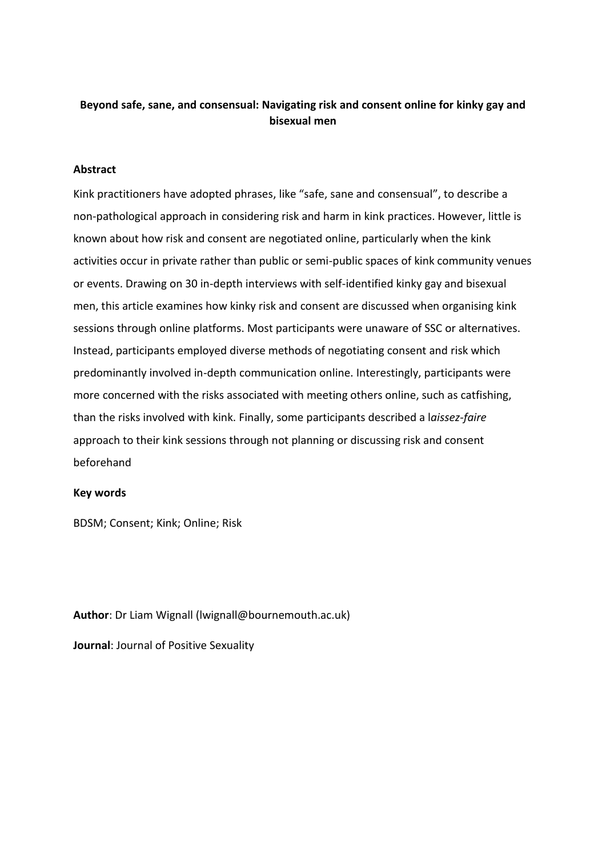# **Beyond safe, sane, and consensual: Navigating risk and consent online for kinky gay and bisexual men**

# **Abstract**

Kink practitioners have adopted phrases, like "safe, sane and consensual", to describe a non-pathological approach in considering risk and harm in kink practices. However, little is known about how risk and consent are negotiated online, particularly when the kink activities occur in private rather than public or semi-public spaces of kink community venues or events. Drawing on 30 in-depth interviews with self-identified kinky gay and bisexual men, this article examines how kinky risk and consent are discussed when organising kink sessions through online platforms. Most participants were unaware of SSC or alternatives. Instead, participants employed diverse methods of negotiating consent and risk which predominantly involved in-depth communication online. Interestingly, participants were more concerned with the risks associated with meeting others online, such as catfishing, than the risks involved with kink. Finally, some participants described a l*aissez-faire* approach to their kink sessions through not planning or discussing risk and consent beforehand

# **Key words**

BDSM; Consent; Kink; Online; Risk

**Author**: Dr Liam Wignall (lwignall@bournemouth.ac.uk)

**Journal**: Journal of Positive Sexuality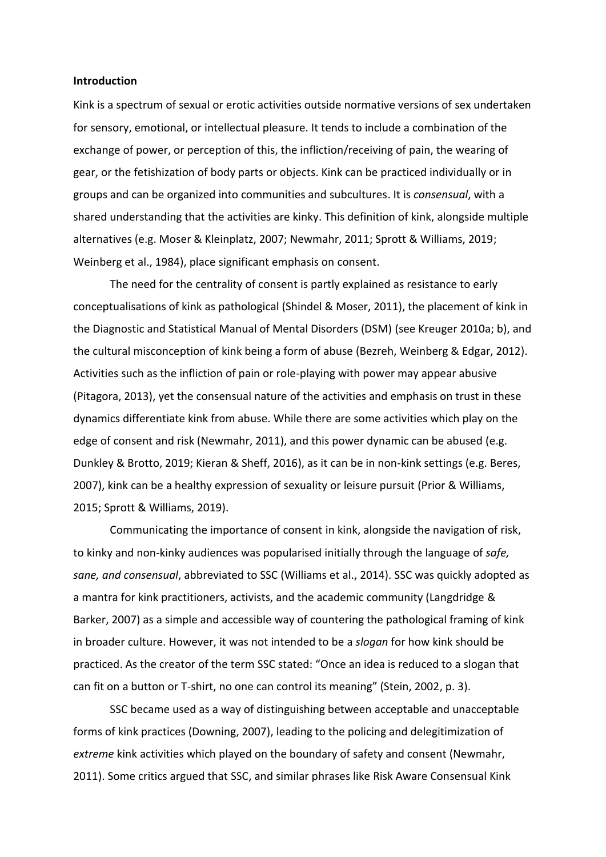#### **Introduction**

Kink is a spectrum of sexual or erotic activities outside normative versions of sex undertaken for sensory, emotional, or intellectual pleasure. It tends to include a combination of the exchange of power, or perception of this, the infliction/receiving of pain, the wearing of gear, or the fetishization of body parts or objects. Kink can be practiced individually or in groups and can be organized into communities and subcultures. It is *consensual*, with a shared understanding that the activities are kinky. This definition of kink, alongside multiple alternatives (e.g. Moser & Kleinplatz, 2007; Newmahr, 2011; Sprott & Williams, 2019; Weinberg et al., 1984), place significant emphasis on consent.

The need for the centrality of consent is partly explained as resistance to early conceptualisations of kink as pathological (Shindel & Moser, 2011), the placement of kink in the Diagnostic and Statistical Manual of Mental Disorders (DSM) (see Kreuger 2010a; b), and the cultural misconception of kink being a form of abuse (Bezreh, Weinberg & Edgar, 2012). Activities such as the infliction of pain or role-playing with power may appear abusive (Pitagora, 2013), yet the consensual nature of the activities and emphasis on trust in these dynamics differentiate kink from abuse. While there are some activities which play on the edge of consent and risk (Newmahr, 2011), and this power dynamic can be abused (e.g. Dunkley & Brotto, 2019; Kieran & Sheff, 2016), as it can be in non-kink settings (e.g. Beres, 2007), kink can be a healthy expression of sexuality or leisure pursuit (Prior & Williams, 2015; Sprott & Williams, 2019).

Communicating the importance of consent in kink, alongside the navigation of risk, to kinky and non-kinky audiences was popularised initially through the language of *safe, sane, and consensual*, abbreviated to SSC (Williams et al., 2014). SSC was quickly adopted as a mantra for kink practitioners, activists, and the academic community (Langdridge & Barker, 2007) as a simple and accessible way of countering the pathological framing of kink in broader culture. However, it was not intended to be a *slogan* for how kink should be practiced. As the creator of the term SSC stated: "Once an idea is reduced to a slogan that can fit on a button or T-shirt, no one can control its meaning" (Stein, 2002, p. 3).

SSC became used as a way of distinguishing between acceptable and unacceptable forms of kink practices (Downing, 2007), leading to the policing and delegitimization of *extreme* kink activities which played on the boundary of safety and consent (Newmahr, 2011). Some critics argued that SSC, and similar phrases like Risk Aware Consensual Kink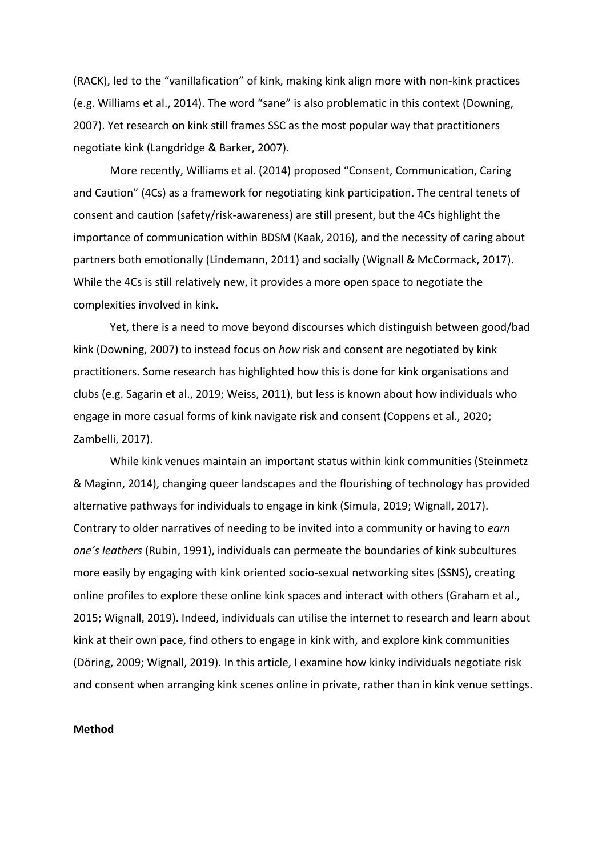(RACK), led to the "vanillafication" of kink, making kink align more with non-kink practices (e.g. Williams et al., 2014). The word "sane" is also problematic in this context (Downing, 2007). Yet research on kink still frames SSC as the most popular way that practitioners negotiate kink (Langdridge & Barker, 2007).

More recently, Williams et al. (2014) proposed "Consent, Communication, Caring and Caution" (4Cs) as a framework for negotiating kink participation. The central tenets of consent and caution (safety/risk-awareness) are still present, but the 4Cs highlight the importance of communication within BDSM (Kaak, 2016), and the necessity of caring about partners both emotionally (Lindemann, 2011) and socially (Wignall & McCormack, 2017). While the 4Cs is still relatively new, it provides a more open space to negotiate the complexities involved in kink.

Yet, there is a need to move beyond discourses which distinguish between good/bad kink (Downing, 2007) to instead focus on *how* risk and consent are negotiated by kink practitioners. Some research has highlighted how this is done for kink organisations and clubs (e.g. Sagarin et al., 2019; Weiss, 2011), but less is known about how individuals who engage in more casual forms of kink navigate risk and consent (Coppens et al., 2020; Zambelli, 2017).

While kink venues maintain an important status within kink communities (Steinmetz & Maginn, 2014), changing queer landscapes and the flourishing of technology has provided alternative pathways for individuals to engage in kink (Simula, 2019; Wignall, 2017). Contrary to older narratives of needing to be invited into a community or having to *earn one's leathers* (Rubin, 1991), individuals can permeate the boundaries of kink subcultures more easily by engaging with kink oriented socio-sexual networking sites (SSNS), creating online profiles to explore these online kink spaces and interact with others (Graham et al., 2015; Wignall, 2019). Indeed, individuals can utilise the internet to research and learn about kink at their own pace, find others to engage in kink with, and explore kink communities (Döring, 2009; Wignall, 2019). In this article, I examine how kinky individuals negotiate risk and consent when arranging kink scenes online in private, rather than in kink venue settings.

# **Method**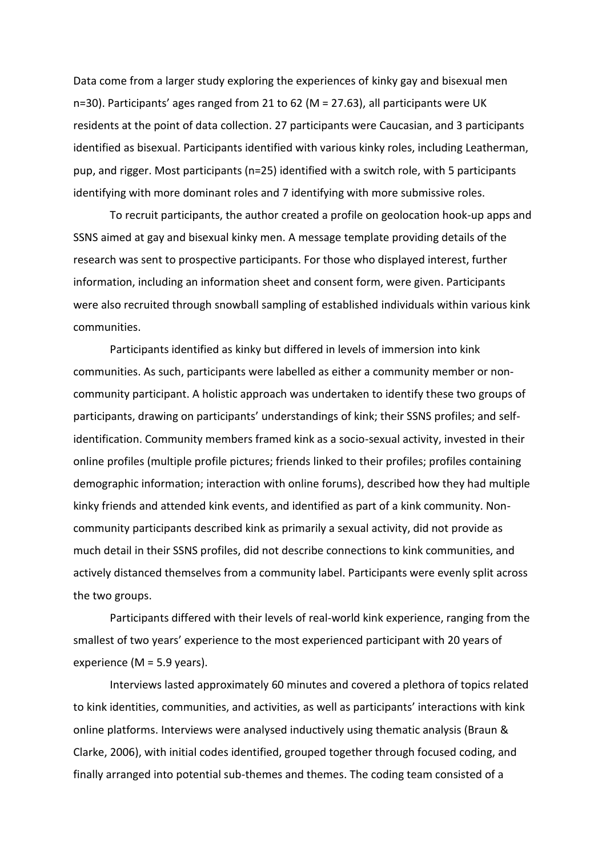Data come from a larger study exploring the experiences of kinky gay and bisexual men n=30). Participants' ages ranged from 21 to 62 (M = 27.63), all participants were UK residents at the point of data collection. 27 participants were Caucasian, and 3 participants identified as bisexual. Participants identified with various kinky roles, including Leatherman, pup, and rigger. Most participants (n=25) identified with a switch role, with 5 participants identifying with more dominant roles and 7 identifying with more submissive roles.

To recruit participants, the author created a profile on geolocation hook-up apps and SSNS aimed at gay and bisexual kinky men. A message template providing details of the research was sent to prospective participants. For those who displayed interest, further information, including an information sheet and consent form, were given. Participants were also recruited through snowball sampling of established individuals within various kink communities.

Participants identified as kinky but differed in levels of immersion into kink communities. As such, participants were labelled as either a community member or noncommunity participant. A holistic approach was undertaken to identify these two groups of participants, drawing on participants' understandings of kink; their SSNS profiles; and selfidentification. Community members framed kink as a socio-sexual activity, invested in their online profiles (multiple profile pictures; friends linked to their profiles; profiles containing demographic information; interaction with online forums), described how they had multiple kinky friends and attended kink events, and identified as part of a kink community. Noncommunity participants described kink as primarily a sexual activity, did not provide as much detail in their SSNS profiles, did not describe connections to kink communities, and actively distanced themselves from a community label. Participants were evenly split across the two groups.

Participants differed with their levels of real-world kink experience, ranging from the smallest of two years' experience to the most experienced participant with 20 years of experience (M = 5.9 years).

Interviews lasted approximately 60 minutes and covered a plethora of topics related to kink identities, communities, and activities, as well as participants' interactions with kink online platforms. Interviews were analysed inductively using thematic analysis (Braun & Clarke, 2006), with initial codes identified, grouped together through focused coding, and finally arranged into potential sub-themes and themes. The coding team consisted of a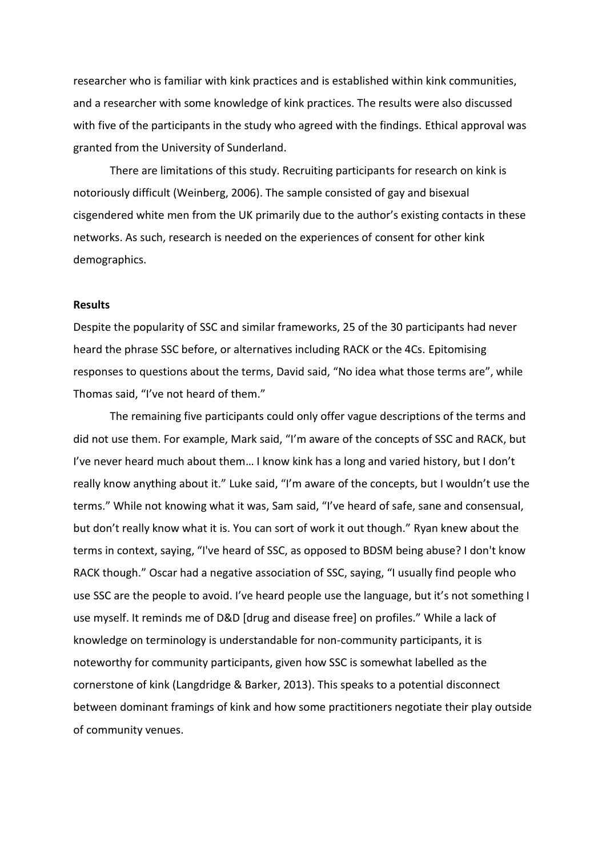researcher who is familiar with kink practices and is established within kink communities, and a researcher with some knowledge of kink practices. The results were also discussed with five of the participants in the study who agreed with the findings. Ethical approval was granted from the University of Sunderland.

There are limitations of this study. Recruiting participants for research on kink is notoriously difficult (Weinberg, 2006). The sample consisted of gay and bisexual cisgendered white men from the UK primarily due to the author's existing contacts in these networks. As such, research is needed on the experiences of consent for other kink demographics.

### **Results**

Despite the popularity of SSC and similar frameworks, 25 of the 30 participants had never heard the phrase SSC before, or alternatives including RACK or the 4Cs. Epitomising responses to questions about the terms, David said, "No idea what those terms are", while Thomas said, "I've not heard of them."

The remaining five participants could only offer vague descriptions of the terms and did not use them. For example, Mark said, "I'm aware of the concepts of SSC and RACK, but I've never heard much about them… I know kink has a long and varied history, but I don't really know anything about it." Luke said, "I'm aware of the concepts, but I wouldn't use the terms." While not knowing what it was, Sam said, "I've heard of safe, sane and consensual, but don't really know what it is. You can sort of work it out though." Ryan knew about the terms in context, saying, "I've heard of SSC, as opposed to BDSM being abuse? I don't know RACK though." Oscar had a negative association of SSC, saying, "I usually find people who use SSC are the people to avoid. I've heard people use the language, but it's not something I use myself. It reminds me of D&D [drug and disease free] on profiles." While a lack of knowledge on terminology is understandable for non-community participants, it is noteworthy for community participants, given how SSC is somewhat labelled as the cornerstone of kink (Langdridge & Barker, 2013). This speaks to a potential disconnect between dominant framings of kink and how some practitioners negotiate their play outside of community venues.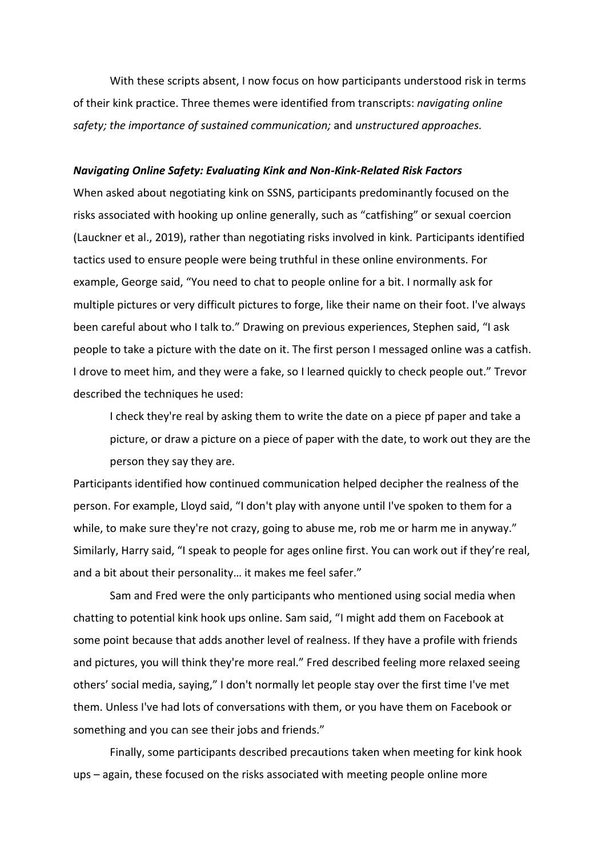With these scripts absent, I now focus on how participants understood risk in terms of their kink practice. Three themes were identified from transcripts: *navigating online safety; the importance of sustained communication;* and *unstructured approaches.*

#### *Navigating Online Safety: Evaluating Kink and Non-Kink-Related Risk Factors*

When asked about negotiating kink on SSNS, participants predominantly focused on the risks associated with hooking up online generally, such as "catfishing" or sexual coercion (Lauckner et al., 2019), rather than negotiating risks involved in kink*.* Participants identified tactics used to ensure people were being truthful in these online environments. For example, George said, "You need to chat to people online for a bit. I normally ask for multiple pictures or very difficult pictures to forge, like their name on their foot. I've always been careful about who I talk to." Drawing on previous experiences, Stephen said, "I ask people to take a picture with the date on it. The first person I messaged online was a catfish. I drove to meet him, and they were a fake, so I learned quickly to check people out." Trevor described the techniques he used:

I check they're real by asking them to write the date on a piece pf paper and take a picture, or draw a picture on a piece of paper with the date, to work out they are the person they say they are.

Participants identified how continued communication helped decipher the realness of the person. For example, Lloyd said, "I don't play with anyone until I've spoken to them for a while, to make sure they're not crazy, going to abuse me, rob me or harm me in anyway." Similarly, Harry said, "I speak to people for ages online first. You can work out if they're real, and a bit about their personality… it makes me feel safer."

Sam and Fred were the only participants who mentioned using social media when chatting to potential kink hook ups online. Sam said, "I might add them on Facebook at some point because that adds another level of realness. If they have a profile with friends and pictures, you will think they're more real." Fred described feeling more relaxed seeing others' social media, saying," I don't normally let people stay over the first time I've met them. Unless I've had lots of conversations with them, or you have them on Facebook or something and you can see their jobs and friends."

Finally, some participants described precautions taken when meeting for kink hook ups – again, these focused on the risks associated with meeting people online more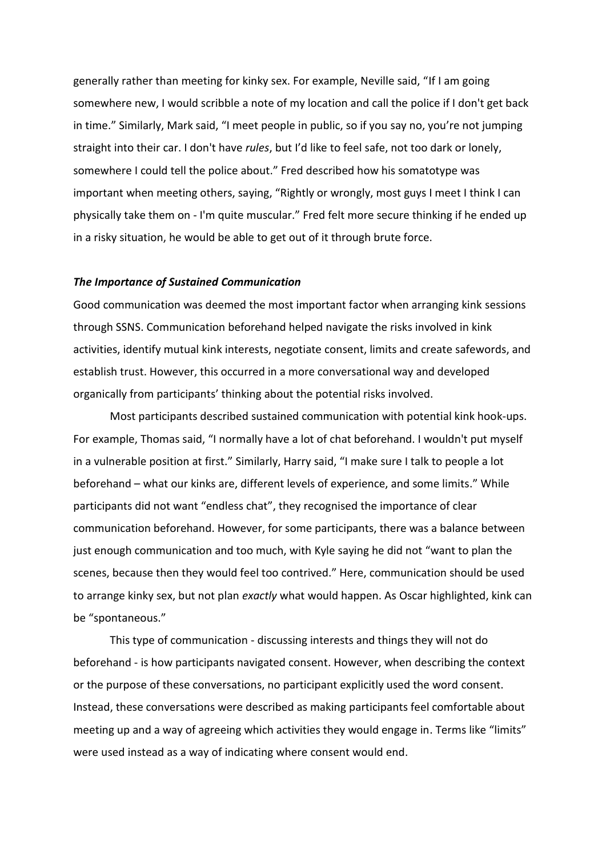generally rather than meeting for kinky sex. For example, Neville said, "If I am going somewhere new, I would scribble a note of my location and call the police if I don't get back in time." Similarly, Mark said, "I meet people in public, so if you say no, you're not jumping straight into their car. I don't have *rules*, but I'd like to feel safe, not too dark or lonely, somewhere I could tell the police about." Fred described how his somatotype was important when meeting others, saying, "Rightly or wrongly, most guys I meet I think I can physically take them on - I'm quite muscular." Fred felt more secure thinking if he ended up in a risky situation, he would be able to get out of it through brute force.

#### *The Importance of Sustained Communication*

Good communication was deemed the most important factor when arranging kink sessions through SSNS. Communication beforehand helped navigate the risks involved in kink activities, identify mutual kink interests, negotiate consent, limits and create safewords, and establish trust. However, this occurred in a more conversational way and developed organically from participants' thinking about the potential risks involved.

Most participants described sustained communication with potential kink hook-ups. For example, Thomas said, "I normally have a lot of chat beforehand. I wouldn't put myself in a vulnerable position at first." Similarly, Harry said, "I make sure I talk to people a lot beforehand – what our kinks are, different levels of experience, and some limits." While participants did not want "endless chat", they recognised the importance of clear communication beforehand. However, for some participants, there was a balance between just enough communication and too much, with Kyle saying he did not "want to plan the scenes, because then they would feel too contrived." Here, communication should be used to arrange kinky sex, but not plan *exactly* what would happen. As Oscar highlighted, kink can be "spontaneous."

This type of communication - discussing interests and things they will not do beforehand - is how participants navigated consent. However, when describing the context or the purpose of these conversations, no participant explicitly used the word consent. Instead, these conversations were described as making participants feel comfortable about meeting up and a way of agreeing which activities they would engage in. Terms like "limits" were used instead as a way of indicating where consent would end.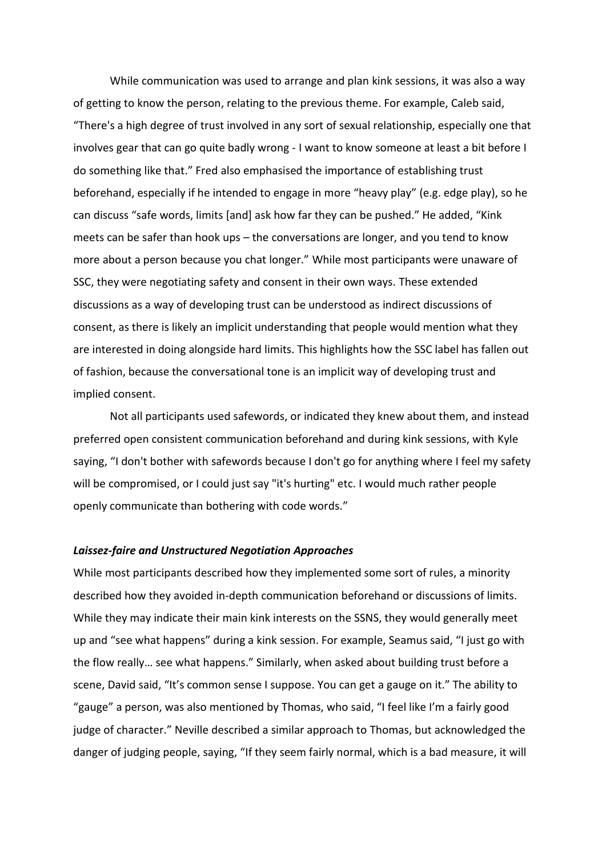While communication was used to arrange and plan kink sessions, it was also a way of getting to know the person, relating to the previous theme. For example, Caleb said, "There's a high degree of trust involved in any sort of sexual relationship, especially one that involves gear that can go quite badly wrong - I want to know someone at least a bit before I do something like that." Fred also emphasised the importance of establishing trust beforehand, especially if he intended to engage in more "heavy play" (e.g. edge play), so he can discuss "safe words, limits [and] ask how far they can be pushed." He added, "Kink meets can be safer than hook ups – the conversations are longer, and you tend to know more about a person because you chat longer." While most participants were unaware of SSC, they were negotiating safety and consent in their own ways. These extended discussions as a way of developing trust can be understood as indirect discussions of consent, as there is likely an implicit understanding that people would mention what they are interested in doing alongside hard limits. This highlights how the SSC label has fallen out of fashion, because the conversational tone is an implicit way of developing trust and implied consent.

Not all participants used safewords, or indicated they knew about them, and instead preferred open consistent communication beforehand and during kink sessions, with Kyle saying, "I don't bother with safewords because I don't go for anything where I feel my safety will be compromised, or I could just say "it's hurting" etc. I would much rather people openly communicate than bothering with code words."

# *Laissez-faire and Unstructured Negotiation Approaches*

While most participants described how they implemented some sort of rules, a minority described how they avoided in-depth communication beforehand or discussions of limits. While they may indicate their main kink interests on the SSNS, they would generally meet up and "see what happens" during a kink session. For example, Seamus said, "I just go with the flow really… see what happens." Similarly, when asked about building trust before a scene, David said, "It's common sense I suppose. You can get a gauge on it." The ability to "gauge" a person, was also mentioned by Thomas, who said, "I feel like I'm a fairly good judge of character." Neville described a similar approach to Thomas, but acknowledged the danger of judging people, saying, "If they seem fairly normal, which is a bad measure, it will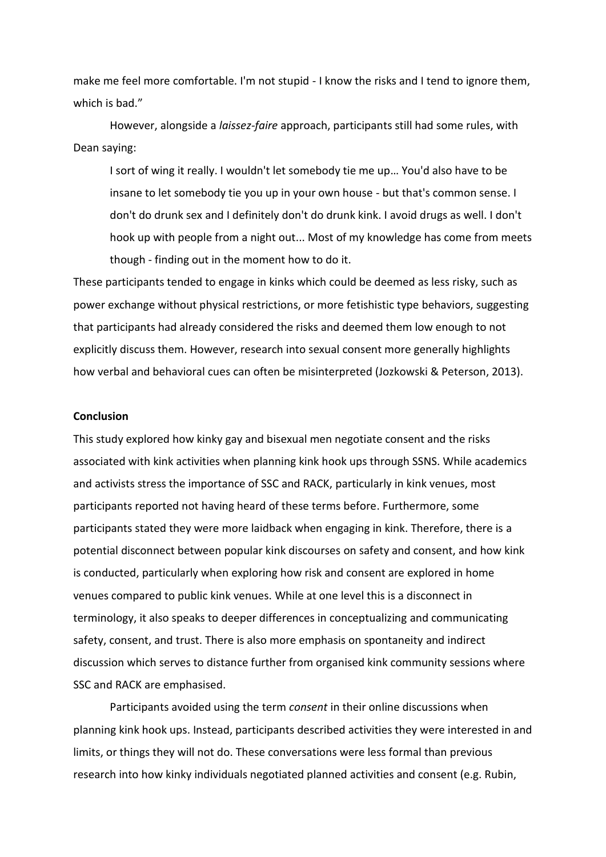make me feel more comfortable. I'm not stupid - I know the risks and I tend to ignore them, which is bad."

However, alongside a *laissez-faire* approach, participants still had some rules, with Dean saying:

I sort of wing it really. I wouldn't let somebody tie me up… You'd also have to be insane to let somebody tie you up in your own house - but that's common sense. I don't do drunk sex and I definitely don't do drunk kink. I avoid drugs as well. I don't hook up with people from a night out... Most of my knowledge has come from meets though - finding out in the moment how to do it.

These participants tended to engage in kinks which could be deemed as less risky, such as power exchange without physical restrictions, or more fetishistic type behaviors, suggesting that participants had already considered the risks and deemed them low enough to not explicitly discuss them. However, research into sexual consent more generally highlights how verbal and behavioral cues can often be misinterpreted (Jozkowski & Peterson, 2013).

# **Conclusion**

This study explored how kinky gay and bisexual men negotiate consent and the risks associated with kink activities when planning kink hook ups through SSNS. While academics and activists stress the importance of SSC and RACK, particularly in kink venues, most participants reported not having heard of these terms before. Furthermore, some participants stated they were more laidback when engaging in kink. Therefore, there is a potential disconnect between popular kink discourses on safety and consent, and how kink is conducted, particularly when exploring how risk and consent are explored in home venues compared to public kink venues. While at one level this is a disconnect in terminology, it also speaks to deeper differences in conceptualizing and communicating safety, consent, and trust. There is also more emphasis on spontaneity and indirect discussion which serves to distance further from organised kink community sessions where SSC and RACK are emphasised.

Participants avoided using the term *consent* in their online discussions when planning kink hook ups. Instead, participants described activities they were interested in and limits, or things they will not do. These conversations were less formal than previous research into how kinky individuals negotiated planned activities and consent (e.g. Rubin,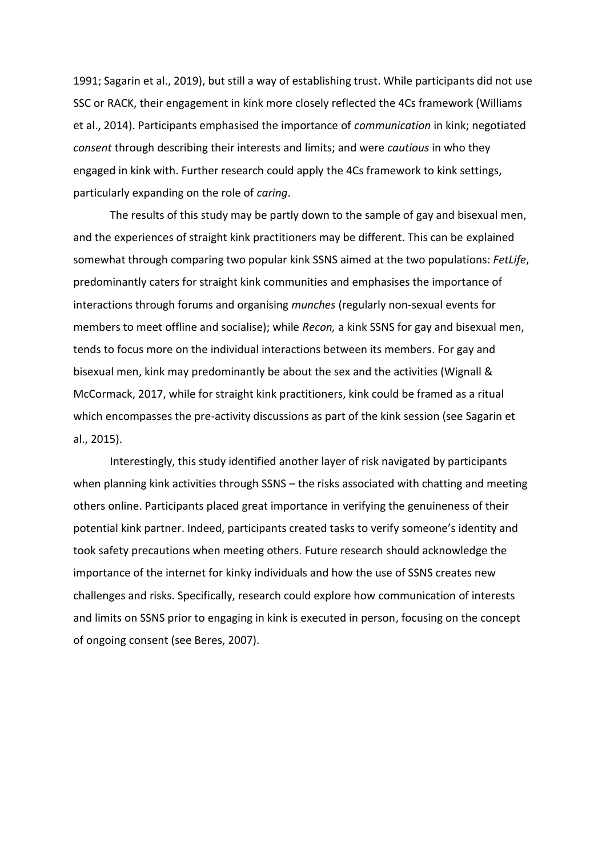1991; Sagarin et al., 2019), but still a way of establishing trust. While participants did not use SSC or RACK, their engagement in kink more closely reflected the 4Cs framework (Williams et al., 2014). Participants emphasised the importance of *communication* in kink; negotiated *consent* through describing their interests and limits; and were *cautious* in who they engaged in kink with. Further research could apply the 4Cs framework to kink settings, particularly expanding on the role of *caring*.

The results of this study may be partly down to the sample of gay and bisexual men, and the experiences of straight kink practitioners may be different. This can be explained somewhat through comparing two popular kink SSNS aimed at the two populations: *FetLife*, predominantly caters for straight kink communities and emphasises the importance of interactions through forums and organising *munches* (regularly non-sexual events for members to meet offline and socialise); while *Recon,* a kink SSNS for gay and bisexual men, tends to focus more on the individual interactions between its members. For gay and bisexual men, kink may predominantly be about the sex and the activities (Wignall & McCormack, 2017, while for straight kink practitioners, kink could be framed as a ritual which encompasses the pre-activity discussions as part of the kink session (see Sagarin et al., 2015).

Interestingly, this study identified another layer of risk navigated by participants when planning kink activities through SSNS – the risks associated with chatting and meeting others online. Participants placed great importance in verifying the genuineness of their potential kink partner. Indeed, participants created tasks to verify someone's identity and took safety precautions when meeting others. Future research should acknowledge the importance of the internet for kinky individuals and how the use of SSNS creates new challenges and risks. Specifically, research could explore how communication of interests and limits on SSNS prior to engaging in kink is executed in person, focusing on the concept of ongoing consent (see Beres, 2007).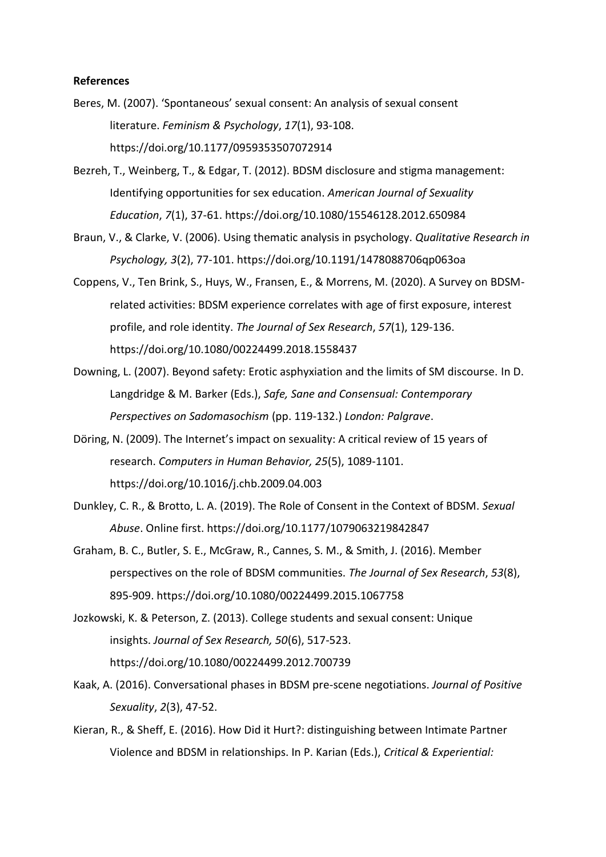# **References**

- Beres, M. (2007). 'Spontaneous' sexual consent: An analysis of sexual consent literature. *Feminism & Psychology*, *17*(1), 93-108. https://doi.org/10.1177/0959353507072914
- Bezreh, T., Weinberg, T., & Edgar, T. (2012). BDSM disclosure and stigma management: Identifying opportunities for sex education. *American Journal of Sexuality Education*, *7*(1), 37-61. https://doi.org/10.1080/15546128.2012.650984
- Braun, V., & Clarke, V. (2006). Using thematic analysis in psychology. *Qualitative Research in Psychology, 3*(2), 77-101. https://doi.org/10.1191/1478088706qp063oa
- Coppens, V., Ten Brink, S., Huys, W., Fransen, E., & Morrens, M. (2020). A Survey on BDSMrelated activities: BDSM experience correlates with age of first exposure, interest profile, and role identity. *The Journal of Sex Research*, *57*(1), 129-136. https://doi.org/10.1080/00224499.2018.1558437
- Downing, L. (2007). Beyond safety: Erotic asphyxiation and the limits of SM discourse. In D. Langdridge & M. Barker (Eds.), *Safe, Sane and Consensual: Contemporary Perspectives on Sadomasochism* (pp. 119-132.) *London: Palgrave*.
- Döring, N. (2009). The Internet's impact on sexuality: A critical review of 15 years of research. *Computers in Human Behavior, 25*(5), 1089-1101. https://doi.org/10.1016/j.chb.2009.04.003
- Dunkley, C. R., & Brotto, L. A. (2019). The Role of Consent in the Context of BDSM. *Sexual Abuse*. Online first. https://doi.org/10.1177/1079063219842847
- Graham, B. C., Butler, S. E., McGraw, R., Cannes, S. M., & Smith, J. (2016). Member perspectives on the role of BDSM communities. *The Journal of Sex Research*, *53*(8), 895-909. https://doi.org/10.1080/00224499.2015.1067758
- Jozkowski, K. & Peterson, Z. (2013). College students and sexual consent: Unique insights. *Journal of Sex Research, 50*(6), 517-523. https://doi.org/10.1080/00224499.2012.700739
- Kaak, A. (2016). Conversational phases in BDSM pre-scene negotiations. *Journal of Positive Sexuality*, *2*(3), 47-52.
- Kieran, R., & Sheff, E. (2016). How Did it Hurt?: distinguishing between Intimate Partner Violence and BDSM in relationships. In P. Karian (Eds.), *Critical & Experiential:*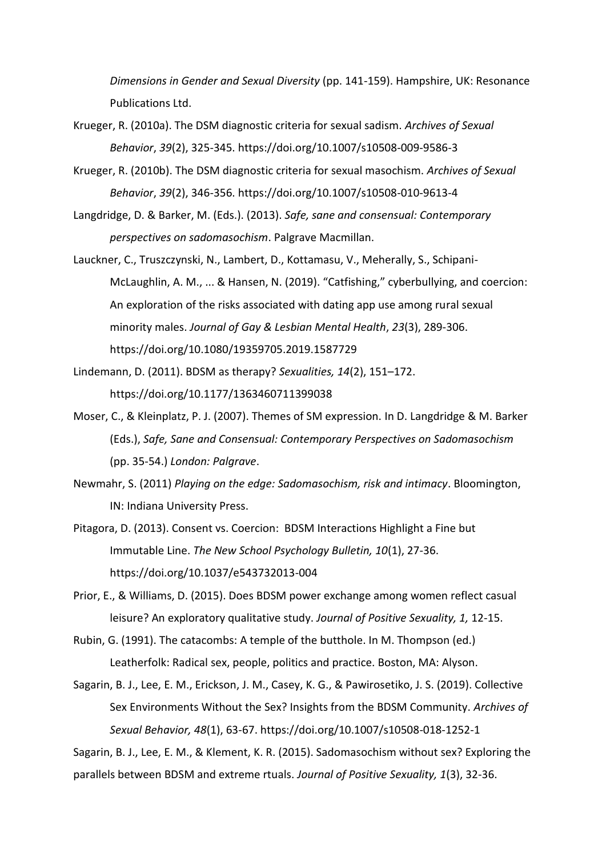*Dimensions in Gender and Sexual Diversity* (pp. 141-159). Hampshire, UK: Resonance Publications Ltd.

- Krueger, R. (2010a). The DSM diagnostic criteria for sexual sadism. *Archives of Sexual Behavior*, *39*(2), 325-345. https://doi.org/10.1007/s10508-009-9586-3
- Krueger, R. (2010b). The DSM diagnostic criteria for sexual masochism. *Archives of Sexual Behavior*, *39*(2), 346-356. https://doi.org/10.1007/s10508-010-9613-4
- Langdridge, D. & Barker, M. (Eds.). (2013). *Safe, sane and consensual: Contemporary perspectives on sadomasochism*. Palgrave Macmillan.
- Lauckner, C., Truszczynski, N., Lambert, D., Kottamasu, V., Meherally, S., Schipani-McLaughlin, A. M., ... & Hansen, N. (2019). "Catfishing," cyberbullying, and coercion: An exploration of the risks associated with dating app use among rural sexual minority males. *Journal of Gay & Lesbian Mental Health*, *23*(3), 289-306. https://doi.org/10.1080/19359705.2019.1587729
- Lindemann, D. (2011). BDSM as therapy? *Sexualities, 14*(2), 151–172. https://doi.org/10.1177/1363460711399038
- Moser, C., & Kleinplatz, P. J. (2007). Themes of SM expression. In D. Langdridge & M. Barker (Eds.), *Safe, Sane and Consensual: Contemporary Perspectives on Sadomasochism*  (pp. 35-54.) *London: Palgrave*.
- Newmahr, S. (2011) *Playing on the edge: Sadomasochism, risk and intimacy*. Bloomington, IN: Indiana University Press.
- Pitagora, D. (2013). Consent vs. Coercion: BDSM Interactions Highlight a Fine but Immutable Line. *The New School Psychology Bulletin, 10*(1), 27-36. https://doi.org/10.1037/e543732013-004

Prior, E., & Williams, D. (2015). Does BDSM power exchange among women reflect casual leisure? An exploratory qualitative study. *Journal of Positive Sexuality, 1,* 12-15.

- Rubin, G. (1991). The catacombs: A temple of the butthole. In M. Thompson (ed.) Leatherfolk: Radical sex, people, politics and practice. Boston, MA: Alyson.
- Sagarin, B. J., Lee, E. M., Erickson, J. M., Casey, K. G., & Pawirosetiko, J. S. (2019). Collective Sex Environments Without the Sex? Insights from the BDSM Community. *Archives of Sexual Behavior, 48*(1), 63-67. https://doi.org/10.1007/s10508-018-1252-1

Sagarin, B. J., Lee, E. M., & Klement, K. R. (2015). Sadomasochism without sex? Exploring the parallels between BDSM and extreme rtuals. *Journal of Positive Sexuality, 1*(3), 32-36.